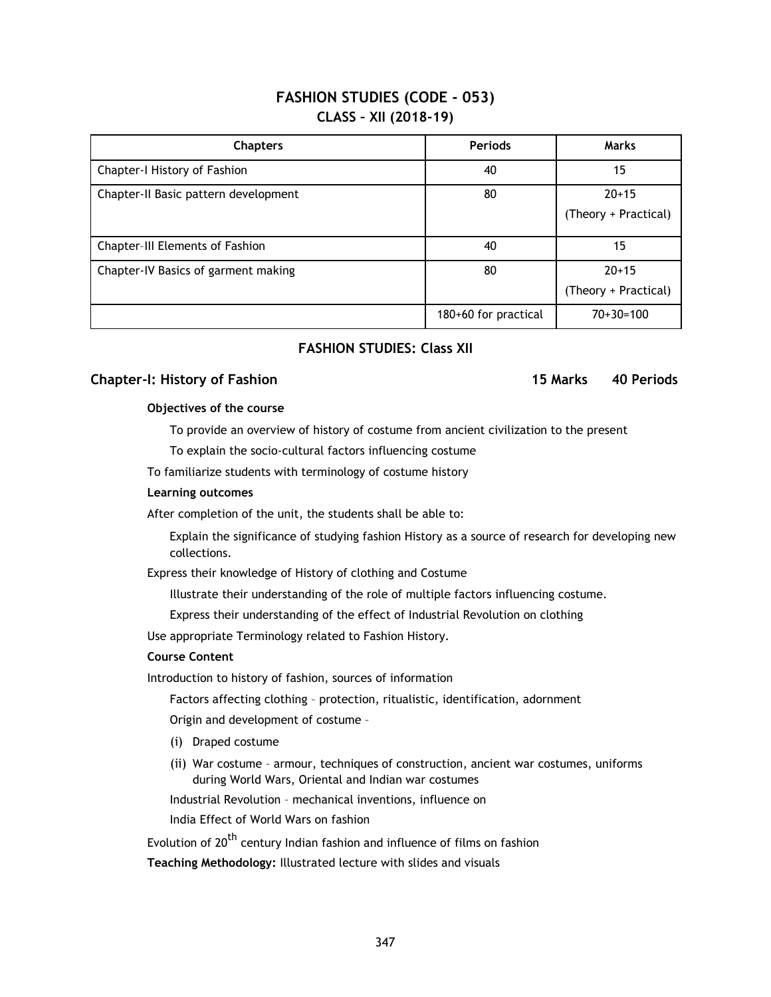# **FASHION STUDIES (CODE - 053) CLASS – XII (2018-19)**

| <b>Chapters</b>                      | <b>Periods</b>       | <b>Marks</b>                    |
|--------------------------------------|----------------------|---------------------------------|
| Chapter-I History of Fashion         | 40                   | 15                              |
| Chapter-II Basic pattern development | 80                   | $20+15$<br>(Theory + Practical) |
| Chapter-III Elements of Fashion      | 40                   | 15                              |
| Chapter-IV Basics of garment making  | 80                   | $20+15$<br>(Theory + Practical) |
|                                      | 180+60 for practical | $70+30=100$                     |

# **FASHION STUDIES: Class XII**

# **Chapter-I: History of Fashion 15 Marks 40 Periods**

# **Objectives of the course**

To provide an overview of history of costume from ancient civilization to the present

To explain the socio-cultural factors influencing costume

To familiarize students with terminology of costume history

#### **Learning outcomes**

After completion of the unit, the students shall be able to:

Explain the significance of studying fashion History as a source of research for developing new collections.

Express their knowledge of History of clothing and Costume

Illustrate their understanding of the role of multiple factors influencing costume.

Express their understanding of the effect of Industrial Revolution on clothing

Use appropriate Terminology related to Fashion History.

#### **Course Content**

Introduction to history of fashion, sources of information

Factors affecting clothing – protection, ritualistic, identification, adornment

Origin and development of costume –

- (i) Draped costume
- (ii) War costume armour, techniques of construction, ancient war costumes, uniforms during World Wars, Oriental and Indian war costumes

Industrial Revolution – mechanical inventions, influence on

India Effect of World Wars on fashion

Evolution of  $20^{th}$  century Indian fashion and influence of films on fashion

**Teaching Methodology:** Illustrated lecture with slides and visuals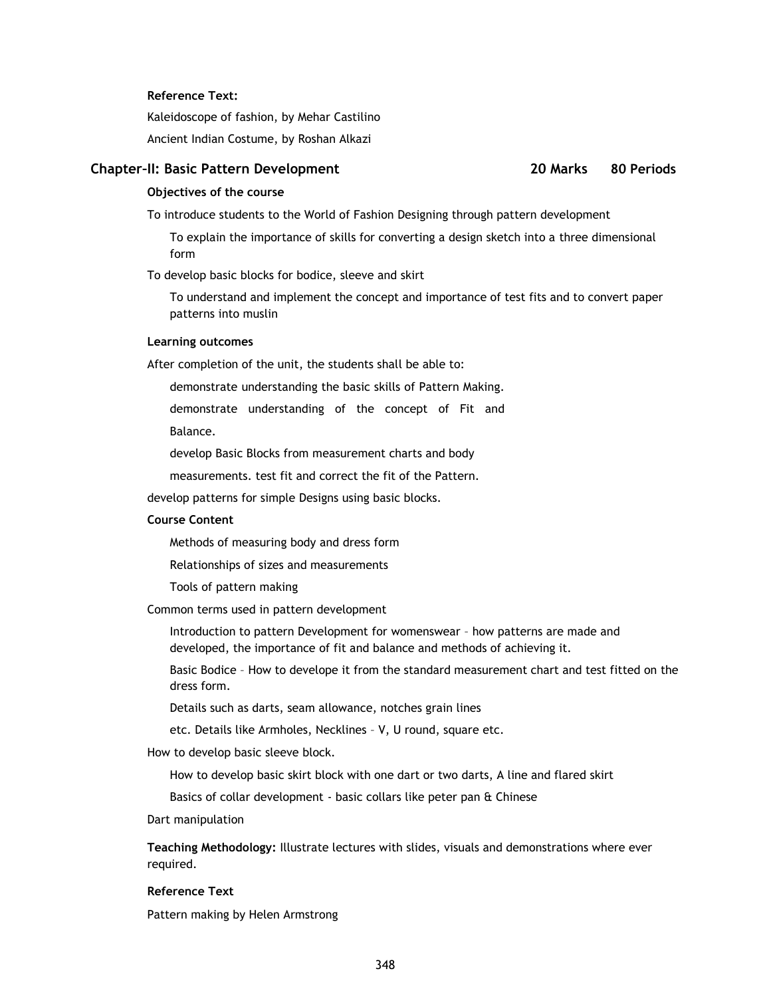#### **Reference Text:**

Kaleidoscope of fashion, by Mehar Castilino Ancient Indian Costume, by Roshan Alkazi

# **Chapter–II: Basic Pattern Development 20 Marks 80 Periods**

# **Objectives of the course**

To introduce students to the World of Fashion Designing through pattern development

To explain the importance of skills for converting a design sketch into a three dimensional form

To develop basic blocks for bodice, sleeve and skirt

To understand and implement the concept and importance of test fits and to convert paper patterns into muslin

#### **Learning outcomes**

After completion of the unit, the students shall be able to:

demonstrate understanding the basic skills of Pattern Making.

demonstrate understanding of the concept of Fit and

Balance.

develop Basic Blocks from measurement charts and body

measurements. test fit and correct the fit of the Pattern.

develop patterns for simple Designs using basic blocks.

### **Course Content**

Methods of measuring body and dress form

Relationships of sizes and measurements

Tools of pattern making

Common terms used in pattern development

Introduction to pattern Development for womenswear – how patterns are made and developed, the importance of fit and balance and methods of achieving it.

Basic Bodice – How to develope it from the standard measurement chart and test fitted on the dress form.

Details such as darts, seam allowance, notches grain lines

etc. Details like Armholes, Necklines – V, U round, square etc.

How to develop basic sleeve block.

How to develop basic skirt block with one dart or two darts, A line and flared skirt

Basics of collar development - basic collars like peter pan & Chinese

Dart manipulation

**Teaching Methodology:** Illustrate lectures with slides, visuals and demonstrations where ever required.

### **Reference Text**

Pattern making by Helen Armstrong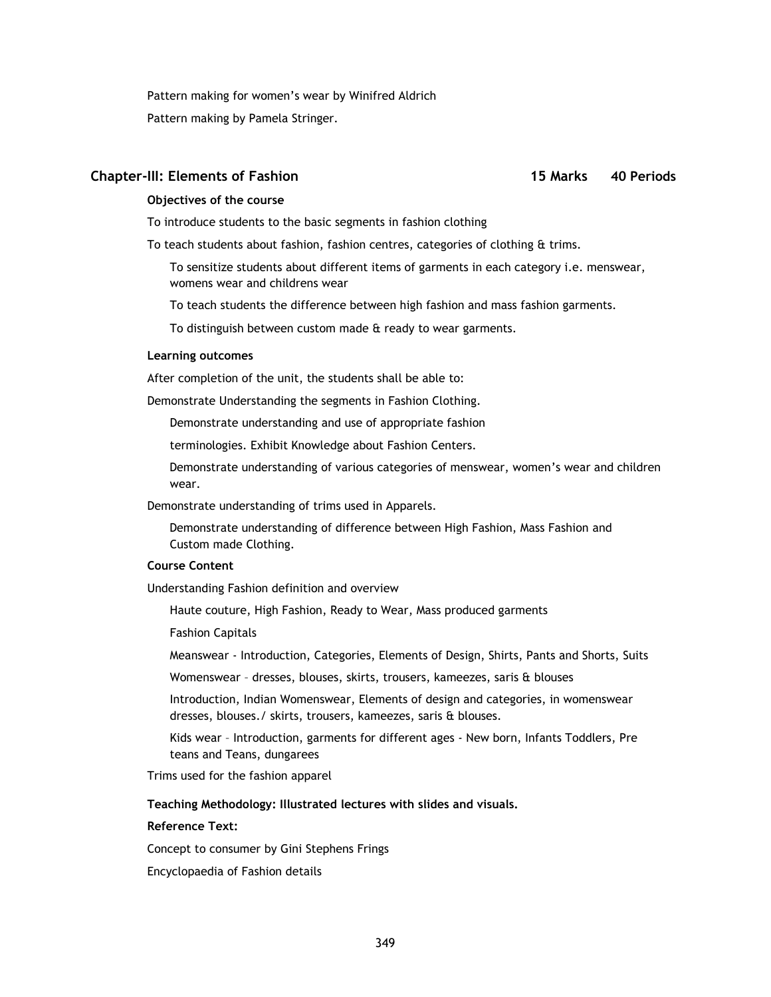Pattern making for women's wear by Winifred Aldrich Pattern making by Pamela Stringer.

# **Chapter-III: Elements of Fashion 15 Marks 40 Periods**

# **Objectives of the course**

To introduce students to the basic segments in fashion clothing

To teach students about fashion, fashion centres, categories of clothing & trims.

To sensitize students about different items of garments in each category i.e. menswear, womens wear and childrens wear

To teach students the difference between high fashion and mass fashion garments.

To distinguish between custom made & ready to wear garments.

### **Learning outcomes**

After completion of the unit, the students shall be able to:

Demonstrate Understanding the segments in Fashion Clothing.

Demonstrate understanding and use of appropriate fashion

terminologies. Exhibit Knowledge about Fashion Centers.

Demonstrate understanding of various categories of menswear, women's wear and children wear.

Demonstrate understanding of trims used in Apparels.

Demonstrate understanding of difference between High Fashion, Mass Fashion and Custom made Clothing.

# **Course Content**

Understanding Fashion definition and overview

Haute couture, High Fashion, Ready to Wear, Mass produced garments

Fashion Capitals

Meanswear - Introduction, Categories, Elements of Design, Shirts, Pants and Shorts, Suits

Womenswear – dresses, blouses, skirts, trousers, kameezes, saris & blouses

Introduction, Indian Womenswear, Elements of design and categories, in womenswear dresses, blouses./ skirts, trousers, kameezes, saris & blouses.

Kids wear – Introduction, garments for different ages - New born, Infants Toddlers, Pre teans and Teans, dungarees

Trims used for the fashion apparel

# **Teaching Methodology: Illustrated lectures with slides and visuals.**

# **Reference Text:**

Concept to consumer by Gini Stephens Frings

Encyclopaedia of Fashion details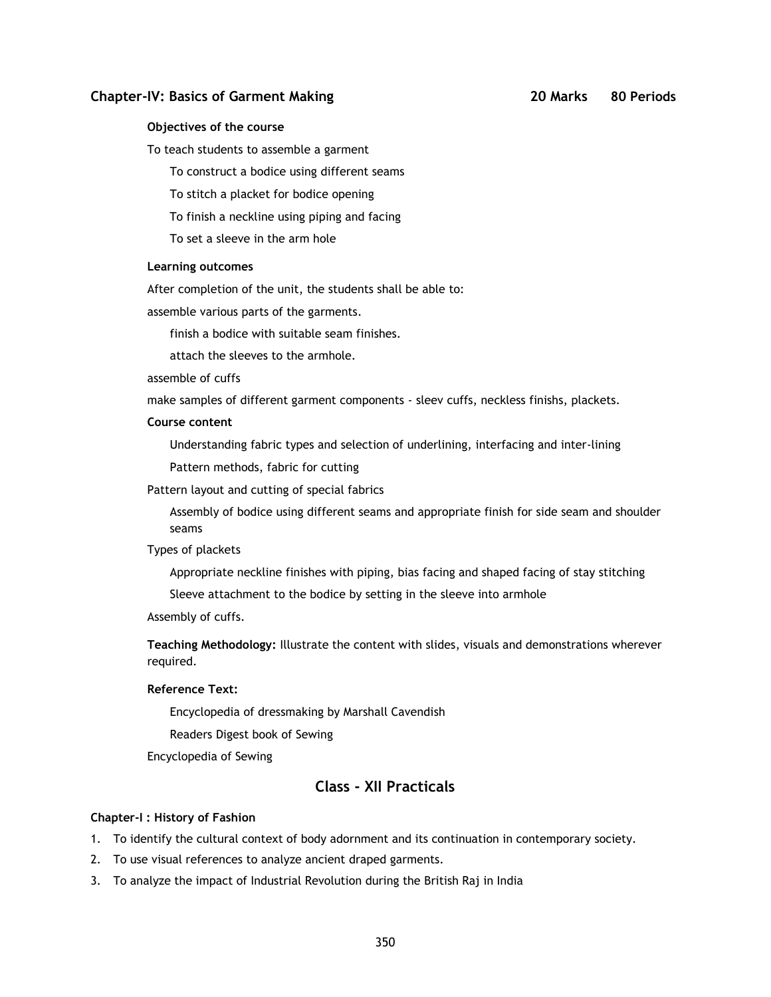# **Chapter-IV: Basics of Garment Making 20 Marks 80 Periods**

#### **Objectives of the course**

To teach students to assemble a garment

To construct a bodice using different seams

To stitch a placket for bodice opening

To finish a neckline using piping and facing

To set a sleeve in the arm hole

### **Learning outcomes**

After completion of the unit, the students shall be able to:

assemble various parts of the garments.

finish a bodice with suitable seam finishes.

attach the sleeves to the armhole.

# assemble of cuffs

make samples of different garment components - sleev cuffs, neckless finishs, plackets.

# **Course content**

Understanding fabric types and selection of underlining, interfacing and inter-lining

Pattern methods, fabric for cutting

Pattern layout and cutting of special fabrics

Assembly of bodice using different seams and appropriate finish for side seam and shoulder seams

## Types of plackets

Appropriate neckline finishes with piping, bias facing and shaped facing of stay stitching

Sleeve attachment to the bodice by setting in the sleeve into armhole

Assembly of cuffs.

**Teaching Methodology:** Illustrate the content with slides, visuals and demonstrations wherever required.

### **Reference Text:**

Encyclopedia of dressmaking by Marshall Cavendish

Readers Digest book of Sewing

Encyclopedia of Sewing

# **Class - XII Practicals**

#### **Chapter-I : History of Fashion**

1. To identify the cultural context of body adornment and its continuation in contemporary society.

- 2. To use visual references to analyze ancient draped garments.
- 3. To analyze the impact of Industrial Revolution during the British Raj in India